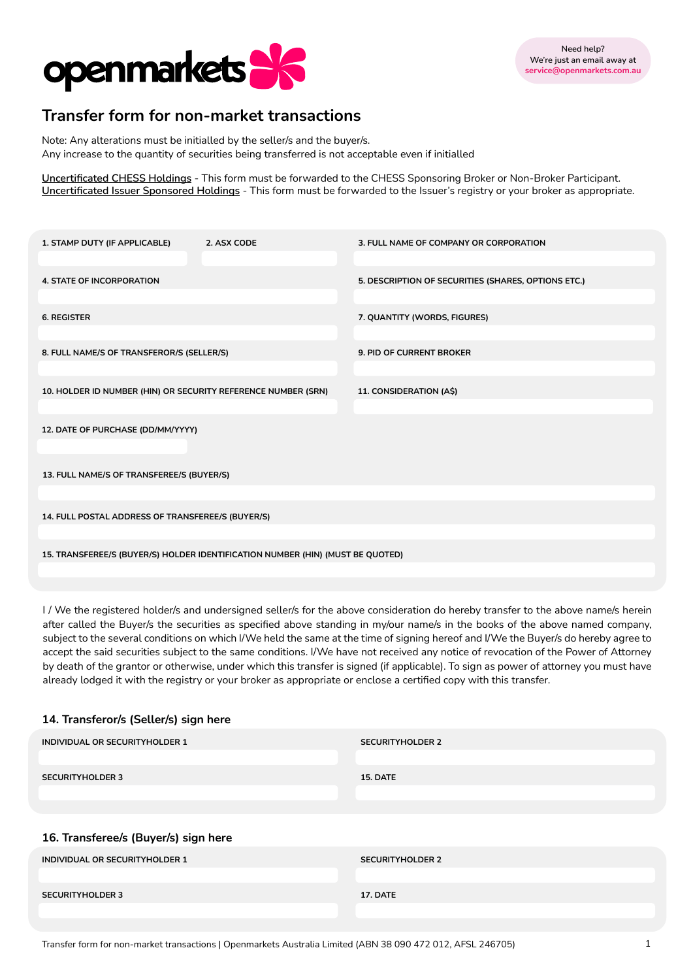

# **Transfer form for non-market transactions**

Note: Any alterations must be initialled by the seller/s and the buyer/s. Any increase to the quantity of securities being transferred is not acceptable even if initialled

**Uncertificated CHESS Holdings** - This form must be forwarded to the CHESS Sponsoring Broker or Non-Broker Participant. **Uncertificated Issuer Sponsored Holdings** - This form must be forwarded to the Issuer's registry or your broker as appropriate.

| 1. STAMP DUTY (IF APPLICABLE)                                                  | 2. ASX CODE | 3. FULL NAME OF COMPANY OR CORPORATION              |  |
|--------------------------------------------------------------------------------|-------------|-----------------------------------------------------|--|
| 4. STATE OF INCORPORATION                                                      |             | 5. DESCRIPTION OF SECURITIES (SHARES, OPTIONS ETC.) |  |
| <b>6. REGISTER</b>                                                             |             | 7. QUANTITY (WORDS, FIGURES)                        |  |
| 8. FULL NAME/S OF TRANSFEROR/S (SELLER/S)                                      |             | <b>9. PID OF CURRENT BROKER</b>                     |  |
| 10. HOLDER ID NUMBER (HIN) OR SECURITY REFERENCE NUMBER (SRN)                  |             | 11. CONSIDERATION (A\$)                             |  |
| 12. DATE OF PURCHASE (DD/MM/YYYY)                                              |             |                                                     |  |
|                                                                                |             |                                                     |  |
| 13. FULL NAME/S OF TRANSFEREE/S (BUYER/S)                                      |             |                                                     |  |
| 14. FULL POSTAL ADDRESS OF TRANSFEREE/S (BUYER/S)                              |             |                                                     |  |
| 15. TRANSFEREE/S (BUYER/S) HOLDER IDENTIFICATION NUMBER (HIN) (MUST BE QUOTED) |             |                                                     |  |
|                                                                                |             |                                                     |  |

I / We the registered holder/s and undersigned seller/s for the above consideration do hereby transfer to the above name/s herein after called the Buyer/s the securities as specified above standing in my/our name/s in the books of the above named company, subject to the several conditions on which I/We held the same at the time of signing hereof and I/We the Buyer/s do hereby agree to accept the said securities subject to the same conditions. I/We have not received any notice of revocation of the Power of Attorney by death of the grantor or otherwise, under which this transfer is signed (if applicable). To sign as power of attorney you must have already lodged it with the registry or your broker as appropriate or enclose a certified copy with this transfer.

## **14. Transferor/s (Seller/s) sign here**

| INDIVIDUAL OR SECURITYHOLDER 1       | <b>SECURITYHOLDER 2</b> |
|--------------------------------------|-------------------------|
| <b>SECURITYHOLDER 3</b>              | <b>15. DATE</b>         |
|                                      |                         |
|                                      |                         |
| 16. Transferee/s (Buyer/s) sign here |                         |
| INDIVIDUAL OR SECURITYHOLDER 1       | <b>SECURITYHOLDER 2</b> |
|                                      |                         |
| <b>SECURITYHOLDER 3</b>              | 17. DATE                |
|                                      |                         |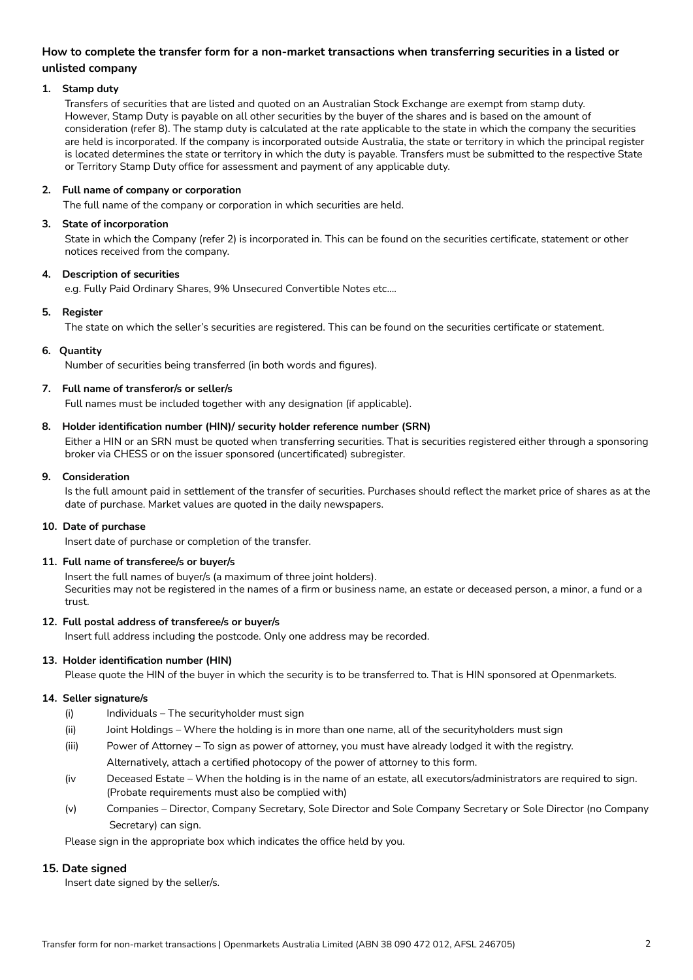# **How to complete the transfer form for a non-market transactions when transferring securities in a listed or unlisted company**

## **1. Stamp duty**

Transfers of securities that are listed and quoted on an Australian Stock Exchange are exempt from stamp duty. However, Stamp Duty is payable on all other securities by the buyer of the shares and is based on the amount of consideration (refer 8). The stamp duty is calculated at the rate applicable to the state in which the company the securities are held is incorporated. If the company is incorporated outside Australia, the state or territory in which the principal register is located determines the state or territory in which the duty is payable. Transfers must be submitted to the respective State or Territory Stamp Duty office for assessment and payment of any applicable duty.

## **2. Full name of company or corporation**

The full name of the company or corporation in which securities are held.

## **3. State of incorporation**

State in which the Company (refer 2) is incorporated in. This can be found on the securities certificate, statement or other notices received from the company.

## **4. Description of securities**

e.g. Fully Paid Ordinary Shares, 9% Unsecured Convertible Notes etc....

## **5. Register**

The state on which the seller's securities are registered. This can be found on the securities certificate or statement.

## **6. Quantity**

Number of securities being transferred (in both words and figures).

## **7. Full name of transferor/s or seller/s**

Full names must be included together with any designation (if applicable).

## **8. Holder identification number (HIN)/ security holder reference number (SRN)**

Either a HIN or an SRN must be quoted when transferring securities. That is securities registered either through a sponsoring broker via CHESS or on the issuer sponsored (uncertificated) subregister.

#### **9. Consideration**

Is the full amount paid in settlement of the transfer of securities. Purchases should reflect the market price of shares as at the date of purchase. Market values are quoted in the daily newspapers.

## **10. Date of purchase**

Insert date of purchase or completion of the transfer.

## **11. Full name of transferee/s or buyer/s**

Insert the full names of buyer/s (a maximum of three joint holders). Securities may not be registered in the names of a firm or business name, an estate or deceased person, a minor, a fund or a trust.

## **12. Full postal address of transferee/s or buyer/s**

Insert full address including the postcode. Only one address may be recorded.

## **13. Holder identification number (HIN)**

Please quote the HIN of the buyer in which the security is to be transferred to. That is HIN sponsored at Openmarkets.

## **14. Seller signature/s**

- (i) Individuals The securityholder must sign
- (ii) Joint Holdings Where the holding is in more than one name, all of the securityholders must sign
- (iii) Power of Attorney To sign as power of attorney, you must have already lodged it with the registry. Alternatively, attach a certified photocopy of the power of attorney to this form.
- (iv Deceased Estate When the holding is in the name of an estate, all executors/administrators are required to sign. (Probate requirements must also be complied with)
- (v) Companies Director, Company Secretary, Sole Director and Sole Company Secretary or Sole Director (no Company Secretary) can sign.

Please sign in the appropriate box which indicates the office held by you.

## **15. Date signed**

Insert date signed by the seller/s.